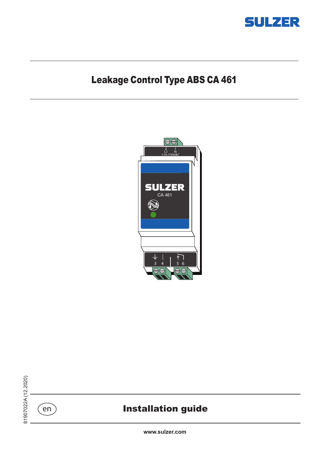

# Leakage Control Type ABS CA 461





 $[en]$ 



**www.sulzer.com**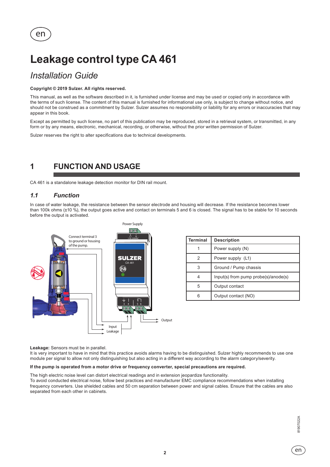## **Leakage control type CA 461**

## *Installation Guide*

#### **Copyright © 2019 Sulzer. All rights reserved.**

This manual, as well as the software described in it, is furnished under license and may be used or copied only in accordance with the terms of such license. The content of this manual is furnished for informational use only, is subject to change without notice, and should not be construed as a commitment by Sulzer. Sulzer assumes no responsibility or liability for any errors or inaccuracies that may appear in this book.

Except as permitted by such license, no part of this publication may be reproduced, stored in a retrieval system, or transmitted, in any form or by any means, electronic, mechanical, recording, or otherwise, without the prior written permission of Sulzer.

Sulzer reserves the right to alter specifications due to technical developments.

## **1 FUNCTION AND USAGE**

CA 461 is a standalone leakage detection monitor for DIN rail mount.

### *1.1 Function*

In case of water leakage, the resistance between the sensor electrode and housing will decrease. If the resistance becomes lower than 100k ohms (±10 %), the output goes active and contact on terminals 5 and 6 is closed. The signal has to be stable for 10 seconds before the output is activated.



#### **Leakage:** Sensors must be in parallel.

It is very important to have in mind that this practice avoids alarms having to be distinguished. Sulzer highly recommends to use one module per signal to allow not only distinguishing but also acting in a different way according to the alarm category/severity.

#### **If the pump is operated from a motor drive or frequency converter, special precautions are required.**

The high electric noise level can distort electrical readings and in extension jeopardize functionality. To avoid conducted electrical noise, follow best practices and manufacturer EMC compliance recommendations when installing frequency converters. Use shielded cables and 50 cm separation between power and signal cables. Ensure that the cables are also separated from each other in cabinets.

en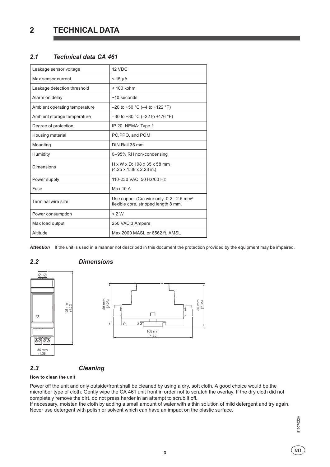### *2.1 Technical data CA 461*

| Leakage sensor voltage        | 12 VDC                                                                                         |
|-------------------------------|------------------------------------------------------------------------------------------------|
| Max sensor current            | $<$ 15 $\mu$ A                                                                                 |
| Leakage detection threshold   | $< 100$ kohm                                                                                   |
| Alarm on delay                | $~10$ seconds                                                                                  |
| Ambient operating temperature | $-20$ to +50 °C (-4 to +122 °F)                                                                |
| Ambient storage temperature   | $-30$ to +80 °C ( $-22$ to +176 °F)                                                            |
| Degree of protection          | IP 20, NEMA: Type 1                                                                            |
| Housing material              | PC, PPO, and POM                                                                               |
| Mounting                      | DIN Rail 35 mm                                                                                 |
| Humidity                      | 0-95% RH non-condensing                                                                        |
| Dimensions                    | H x W x D: 108 x 35 x 58 mm<br>(4.25 x 1.38 x 2.28 in.)                                        |
| Power supply                  | 110-230 VAC, 50 Hz/60 Hz                                                                       |
| Fuse                          | <b>Max 10 A</b>                                                                                |
| Terminal wire size            | Use copper (Cu) wire only. $0.2 - 2.5$ mm <sup>2</sup><br>flexible core, stripped length 8 mm. |
| Power consumption             | < 2 W                                                                                          |
| Max load output               | 250 VAC 3 Ampere                                                                               |
| Altitude                      | Max 2000 MASL or 6562 ft. AMSL                                                                 |

*Attention* If the unit is used in a manner not described in this document the protection provided by the equipment may be impaired.

### *2.2 Dimensions*





## *2.3 Cleaning*

#### **How to clean the unit**

Power off the unit and only outside/front shall be cleaned by using a dry, soft cloth. A good choice would be the microfiber type of cloth. Gently wipe the CA 461 unit front in order not to scratch the overlay. If the dry cloth did not completely remove the dirt, do not press harder in an attempt to scrub it off.

If necessary, moisten the cloth by adding a small amount of water with a thin solution of mild detergent and try again. Never use detergent with polish or solvent which can have an impact on the plastic surface.

en

**3**